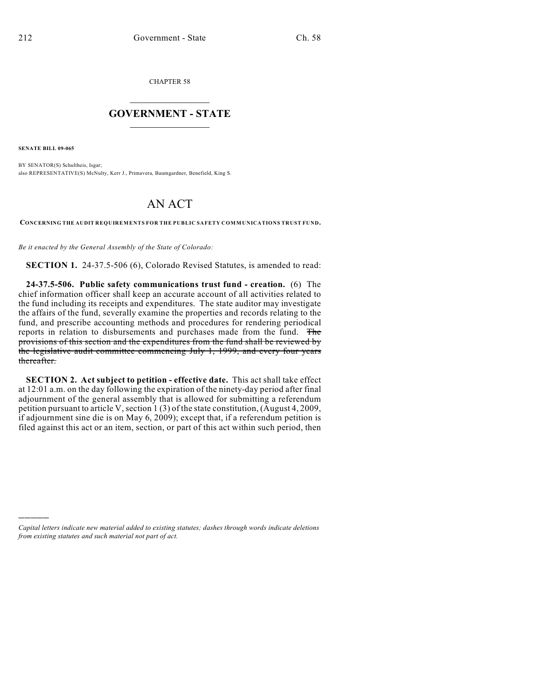CHAPTER 58

## $\mathcal{L}_\text{max}$  . The set of the set of the set of the set of the set of the set of the set of the set of the set of the set of the set of the set of the set of the set of the set of the set of the set of the set of the set **GOVERNMENT - STATE**  $\_$   $\_$

**SENATE BILL 09-065**

)))))

BY SENATOR(S) Schultheis, Isgar; also REPRESENTATIVE(S) McNulty, Kerr J., Primavera, Baumgardner, Benefield, King S.

## AN ACT

**CONCERNING THE AUDIT REQUIREMENTS FOR THE PUBLIC SAFETY COMMUNICATIONS TRUST FUND.**

*Be it enacted by the General Assembly of the State of Colorado:*

**SECTION 1.** 24-37.5-506 (6), Colorado Revised Statutes, is amended to read:

**24-37.5-506. Public safety communications trust fund - creation.** (6) The chief information officer shall keep an accurate account of all activities related to the fund including its receipts and expenditures. The state auditor may investigate the affairs of the fund, severally examine the properties and records relating to the fund, and prescribe accounting methods and procedures for rendering periodical reports in relation to disbursements and purchases made from the fund. The provisions of this section and the expenditures from the fund shall be reviewed by the legislative audit committee commencing July 1, 1999, and every four years thereafter.

**SECTION 2. Act subject to petition - effective date.** This act shall take effect at 12:01 a.m. on the day following the expiration of the ninety-day period after final adjournment of the general assembly that is allowed for submitting a referendum petition pursuant to article V, section 1 (3) of the state constitution, (August 4, 2009, if adjournment sine die is on May 6, 2009); except that, if a referendum petition is filed against this act or an item, section, or part of this act within such period, then

*Capital letters indicate new material added to existing statutes; dashes through words indicate deletions from existing statutes and such material not part of act.*